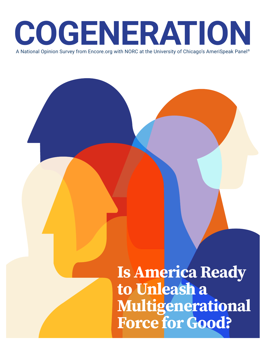

**Is America Ready to Unleash a Multigenerational Force for Good?**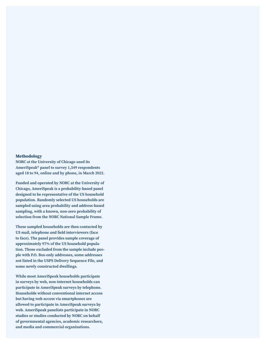#### **Methodology**

**NORC at the University of Chicago used its AmeriSpeak® panel to survey 1,549 respondents aged 18 to 94, online and by phone, in March 2022.**

**Funded and operated by NORC at the University of Chicago, AmeriSpeak is a probability-based panel designed to be representative of the US household population. Randomly selected US households are sampled using area probability and address-based sampling, with a known, non-zero probability of selection from the NORC National Sample Frame.** 

**These sampled households are then contacted by**  US mail, telephone and feld interviewers (face **to face). The panel provides sample coverage of approximately 97% of the US household population. Those excluded from the sample include people with P.O. Box-only addresses, some addresses not listed in the USPS Delivery Sequence File, and some newly constructed dwellings.** 

**While most AmeriSpeak households participate in surveys by web, non-internet households can participate in AmeriSpeak surveys by telephone. Households without conventional internet access but having web access via smartphones are allowed to participate in AmeriSpeak surveys by web. AmeriSpeak panelists participate in NORC studies or studies conducted by NORC on behalf of governmental agencies, academic researchers, and media and commercial organizations.**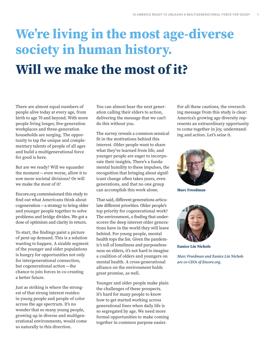# We're living in the most age-diverse **society in human history. Will we make the most of it?**

There are almost equal numbers of people alive today at every age, from birth to age 70 and beyond. With more people living longer, fve-generation workplaces and three-generation households are surging. The opportunity to tap the unique and complementary talents of people of all ages and build a multigenerational force for good is here.

But are we ready? Will we squander the moment — even worse, allow it to sow more societal divisions? Or will we make the most of it?

Encore.org commissioned this study to fnd out what Americans think about cogeneration — a strategy to bring older and younger people together to solve problems and bridge divides. We got a dose of optimism and clarity in return.

To start, the fndings paint a picture of pent-up demand. This is a solution wanting to happen. A sizable segment of the younger and older populations is hungry for opportunities not only for intergenerational connection, but cogenerational action — the chance to join forces in co-creating a better future.

Just as striking is where the strongest of that strong interest resides: in young people and people of color across the age spectrum. It's no wonder that so many young people, growing up in diverse and multigenerational environments, would come so naturally to this direction.

You can almost hear the next generation calling their elders to action, delivering the message that we can't do this without you.

The survey reveals a common-sensical ft in the motivations behind this interest. Older people want to share what they've learned from life, and younger people are eager to incorporate their insights. There's a fundamental humility to these impulses, the recognition that bringing about significant change often takes years, even generations, and that no one group can accomplish this work alone.

That said, diferent generations articulate diferent priorities. Older people's top priority for cogenerational work? The environment, a fnding that underscores the deep interest older generations have in the world they will leave behind. For young people, mental health tops the list. Given the pandemic's toll of loneliness and purposelessness on elders, it's not hard to imagine a coalition of olders and youngers on mental health. A cross-generational alliance on the environment holds great promise, as well.

Younger and older people make plain the challenges of these prospects. It's hard for many people to know how to get started working across generational lines when daily life is so segregated by age. We need more formal opportunities to make coming together in common purpose easier.

For all these cautions, the overarching message from this study is clear: America's growing age diversity represents an extraordinary opportunity to come together in joy, understanding and action. Let's seize it.



**Marc Freedman**



**Eunice Lin Nichols**

**Marc Freedman and Eunice Lin Nichols are co-CEOs of Encore.org.**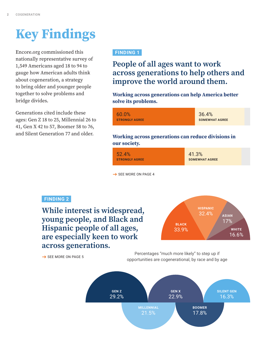# **Key Findings**

Encore.org commissioned this nationally representative survey of 1,549 Americans aged 18 to 94 to gauge how American adults think about cogeneration, a strategy to bring older and younger people together to solve problems and bridge divides.

Generations cited include these ages: Gen Z 18 to 25, Millennial 26 to 41, Gen X 42 to 57, Boomer 58 to 76, and Silent Generation 77 and older.

## FINDING 1

## **People of all ages want to work across generations to help others and improve the world around them.**

**Working across generations can help America better**  solve its problems.

| 60.0%                 | 36.4%                 |
|-----------------------|-----------------------|
| <b>STRONGLY AGREE</b> | <b>SOMEWHAT AGREE</b> |

## Working across generations can reduce divisions in **our society.**

| 52.4%                 | 41.3%                 |
|-----------------------|-----------------------|
|                       |                       |
| <b>STRONGLY AGREE</b> | <b>SOMEWHAT AGREE</b> |
|                       |                       |

→ SEE MORE ON PAGE 4

## FINDING 2

**While interest is widespread, young people, and Black and Hispanic people of all ages, are especially keen to work across generations.** 



 $\rightarrow$  SEE MORE ON PAGE 5

Percentages "much more likely" to step up if opportunities are cogenerational, by race and by age

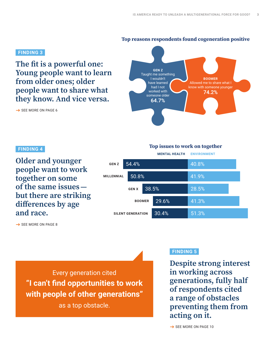## Top reasons respondents found cogeneration positive

## FINDING 3

The fit is a powerful one: **Young people want to learn from older ones; older people want to share what they know. And vice versa.**

**BOOMER**  Allowed me to share what I know with someone younger 74.2% **GEN Z**  Taught me something I wouldn't have learned had I not worked with someone older 64.7%

SEE MORE ON PAGE 6

### FINDING 4

**Older and younger people want to work together on some of the same issues but there are striking**  diferences by age **and race.** 

## **MENTAL HEALTH ENVIRONMENT Top issues to work on together**

54.4% 50.8% 38.5% 29.6% 30.4% 40.8% 41.9% 28.5% 41.3% 51.3% **GEN Z MILLENNIAL GEN X BOOMER SILENT GENERATION**

→ SEE MORE ON PAGE 8

Every generation cited "I can't fnd opportunities to work with people of other generations"

as a top obstacle.

## FINDING 5

**Despite strong interest in working across generations, fully half of respondents cited a range of obstacles preventing them from acting on it.**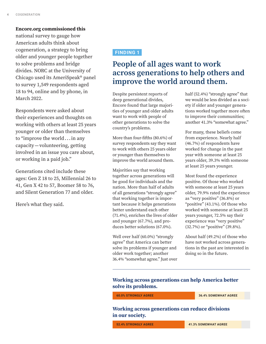#### **Encore.org commissioned this**

national survey to gauge how American adults think about cogeneration, a strategy to bring older and younger people together to solve problems and bridge divides. NORC at the University of Chicago used its AmeriSpeak® panel to survey 1,549 respondents aged 18 to 94, online and by phone, in March 2022.

Respondents were asked about their experiences and thoughts on working with others at least 25 years younger or older than themselves to "improve the world . . . in any capacity — volunteering, getting involved in an issue you care about, or working in a paid job."

Generations cited include these ages: Gen Z 18 to 25, Millennial 26 to 41, Gen X 42 to 57, Boomer 58 to 76, and Silent Generation 77 and older.

Here's what they said.

## FINDING 1

## **People of all ages want to work across generations to help others and improve the world around them.**

Despite persistent reports of deep generational divides, Encore found that large majorities of younger and older adults want to work with people of other generations to solve the country's problems.

More than four-fifths (80.6%) of survey respondents say they want to work with others 25 years older or younger than themselves to improve the world around them.

Majorities say that working together across generations will be good for individuals and the nation. More than half of adults of all generations "strongly agree" that working together is important because it helps generations better understand each other (71.4%), enriches the lives of older and younger (67.7%), and produces better solutions (67.0%).

Well over half (60.0%) "strongly agree" that America can better solve its problems if younger and older work together; another 36.4% "somewhat agree." Just over half (52.4%) "strongly agree" that we would be less divided as a society if older and younger generations worked together more often to improve their communities; another 41.3% "somewhat agree."

For many, these beliefs come from experience. Nearly half (46.7%) of respondents have worked for change in the past year with someone at least 25 years older, 39.3% with someone at least 25 years younger.

Most found the experience positive. Of those who worked with someone at least 25 years older, 79.9% rated the experience as "very positive" (36.8%) or "positive" (43.1%). Of those who worked with someone at least 25 years younger, 72.5% say their experience was "very positive" (32.7%) or "positive" (39.8%).

About half (49.2%) of those who have not worked across generations in the past are interested in doing so in the future.

## **Working across generations can help America better**  solve its problems.

**60.0% STRONGLY AGREE** 36.4% SOMEWHAT AGREE

Working across generations can reduce divisions **in our society.**

52.4% STRONGLY AGREE 41.3% SOMEWHAT AGREE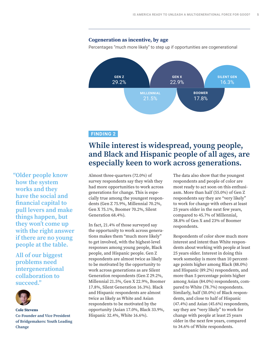### Cogeneration as incentive, by age

Percentages "much more likely" to step up if opportunities are cogenerational



### FINDING 2

## **While interest is widespread, young people, and Black and Hispanic people of all ages, are especially keen to work across generations.**

Almost three-quarters (72.0%) of survey respondents say they wish they had more opportunities to work across generations for change. This is especially true among the youngest respondents (Gen Z 75.9%, Millennial 70.2%, Gen X 75.1%, Boomer 70.2%, Silent Generation 68.4%).

In fact, 21.4% of those surveyed say the opportunity to work across generations makes them "much more likely" to get involved, with the highest-level responses among young people, Black people, and Hispanic people. Gen Z respondents are almost twice as likely to be motivated by the opportunity to work across generations as are Silent Generation respondents (Gen Z 29.2%, Millennial 21.5%, Gen X 22.9%, Boomer 17.8%, Silent Generation 16.3%). Black and Hispanic respondents are almost twice as likely as White and Asian respondents to be motivated by the opportunity (Asian 17.0%, Black 33.9%, Hispanic 32.4%, White 16.6%).

The data also show that the youngest respondents and people of color are most ready to act soon on this enthusiasm. More than half (55.0%) of Gen Z respondents say they are "very likely" to work for change with others at least 25 years older in the next few years, compared to 45.7% of Millennial, 38.8% of Gen X and 23% of Boomer respondents.

Respondents of color show much more interest and intent than White respondents about working with people at least 25 years older. Interest in doing this work someday is more than 10 percentage points higher among Black (88.0%) and Hispanic (89.2%) respondents, and more than 5 percentage points higher among Asian (84.0%) respondents, compared to White (78.7%) respondents. Similarly, half (50.0%) of Black respondents, and close to half of Hispanic (47.4%) and Asian (45.6%) respondents, say they are "very likely" to work for change with people at least 25 years older in the next few years, compared to 34.6% of White respondents.

 **"Older people know how the system works and they have the social and**  fnancial capital to **pull levers and make things happen, but**  they won't come up **with the right answer if there are no young people at the table.** 

**All of our biggest problems need intergenerational collaboration to succeed."**



Cole Stevens **Co-Founder and Vice President**  of Bridgemakers: Youth Leading **Change**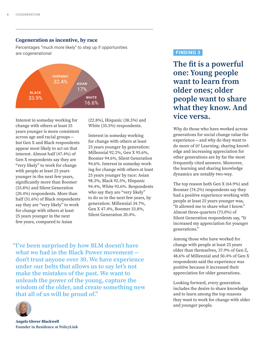#### Cogeneration as incentive, by race

Percentages "much more likely" to step up if opportunities are cogenerational



Interest in someday working for change with others at least 25 years younger is more consistent across age and racial groups but Gen X and Black respondents appear most likely to act on that interest. Almost half (47.4%) of Gen X respondents say they are "very likely" to work for change with people at least 25 years younger in the next few years, signifcantly more than Boomer (33.8%) and Silent Generation (20.4%) respondents. More than half (51.6%) of Black respondents say they are "very likely" to work for change with others at least 25 years younger in the next few years, compared to Asian

(22.8%), Hispanic (38.5%) and White (35.5%) respondents.

Interest in someday working for change with others at least 25 years younger by generation: Millennial 92.2%, Gen X 95.6%, Boomer 94.6%, Silent Generation 94.6%. Interest in someday working for change with others at least 25 years younger by race: Asian 98.3%, Black 92.5%, Hispanic 94.4%, White 93.6%. Respondents who say they are "very likely" to do so in the next few years, by generation: Millennial 34.7%, Gen X 47.4%, Boomer 33.8%, Silent Generation 20.4%.

 FINDING 3

The fit is a powerful one: Young people **want to learn from older ones; older people want to share what they know. And vice versa.**

Why do those who have worked across generations for social change value the experience — and why do they want to do more of it? Learning, sharing knowledge and increasing appreciation for other generations are by far the most frequently cited answers. Moreover, the learning and sharing knowledge dynamics are notably two-way.

The top reason both Gen X (64.9%) and Boomer (74.2%) respondents say they had a positive experience working with people at least 25 years younger was, "It allowed me to share what I know." Almost three-quarters (73.0%) of Silent Generation respondents say, "It increased my appreciation for younger generations."

Among those who have worked for change with people at least 25 years older than themselves, 37.9% of Gen Z, 48.6% of Millennial and 50.4% of Gen X respondents said the experience was positive because it increased their appreciation for older generations.

Looking forward, every generation includes the desire to share knowledge and to learn among the top reasons they want to work for change with older and younger people.

 "I've been surprised by how BLM doesn't have **what we had in the Black Power movement**  don't trust anyone over 30. We have experience under our belts that allows us to say let's not **make the mistakes of the past. We want to unleash the power of the young, capture the wisdom of the older, and create something new that all of us will be proud of."** 

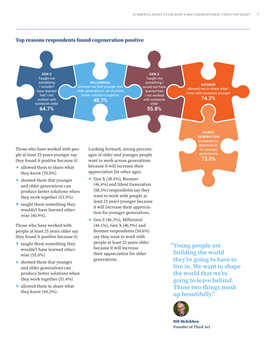

ple at least 25 years younger say they found it positive because it:

- ▶ allowed them to share what they know (70.0%)
- ▶ showed them that younger and older generations can produce better solutions when they work together (53.9%)
- ▶ taught them something they wouldn't have learned otherwise (40.9%).

Those who have worked with people at least 25 years older say they found it positive because it:

- ▶ taught them something they wouldn't have learned otherwise (55.0%)
- ▶ showed them that younger and older generations can produce better solutions when they work together (51.4%)
- ▶ allowed them to share what they know (44.2%).

ages of older and younger people want to work across generations because it will increase their appreciation for other ages.

- ▶ Gen X (38.4%), Boomer (46.4%) and Silent Generation (58.5%) respondents say they want to work with people at least 25 years younger because it will increase their appreciation for younger generations.
- ▶ Gen Z (46.3%), Millennial (44.1%), Gen X (46.9%) and Boomer respondents (54.6%) say they want to work with people at least 25 years older because it will increase their appreciation for older generations.

 **"Young people are building the world**  they're going to have to **live in. We want to shape**  the world that we're **going to leave behind. Those two things mesh up beautifully."** 

73.0%



Bill McKibben **Founder of Third Act**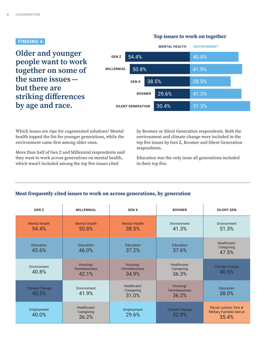### FINDING 4

**Older and younger people want to work together on some of the same issues but there are**  striking diferences **by age and race.** 

#### **MENTAL HEALTH ENVIRONMENT** 54.4% 50.8% 38.5% 29.6% 30.4% 40.8% 41.9% 28.5% 41.3% 51.3% **GEN Z MILLENNIAL GEN X BOOMER SILENT GENERATION**

Which issues are ripe for cogenerated solutions? Mental health topped the list for younger generations, while the environment came frst among older ones.

More than half of Gen Z and Millennial respondents said they want to work across generations on mental health, which wasn't included among the top fve issues cited

by Boomer or Silent Generation respondents. Both the environment and climate change were included in the top fve issues by Gen Z, Boomer and Silent Generation respondents.

Education was the only issue all generations included in their top fve.

## Most frequently cited issues to work on across generations, by generation

| <b>GENZ</b>                    | <b>MILLENNIAL</b>                  | <b>GEN X</b>                             | <b>BOOMER</b>                      | <b>SILENT GEN</b>                                                   |
|--------------------------------|------------------------------------|------------------------------------------|------------------------------------|---------------------------------------------------------------------|
| <b>Mental Health</b><br>54.4%  | <b>Mental Health</b><br>50.8%      | <b>Mental Health</b><br>38.5%            | Environment<br>41.3%               | Environment<br>51.3%                                                |
| Education<br>43.6%             | Education<br>46.0%                 | Education<br>37.2%                       | Education<br>37.6%                 | Healthcare/<br>Caregiving<br>47.5%                                  |
| Environment<br>40.8%           | Housing/<br>Homelessness<br>42.1%  | Housing/<br><b>Homelessness</b><br>34.9% | Healthcare/<br>Caregiving<br>36.3% | <b>Climate Change</b><br>40.5%                                      |
| <b>Climate Change</b><br>40.5% | Environment<br>41.9%               | Healthcare/<br>Caregiving<br>31.0%       | Housing/<br>Homelessness<br>36.2%  | Education<br>38.0%                                                  |
| Employment<br>40.0%            | Healthcare/<br>Caregiving<br>36.2% | Employment<br>29.6%                      | <b>Climate Change</b><br>32.0%     | Racial Justice; Vets &<br><b>Military Families tied at</b><br>35.4% |

## **Top issues to work on together**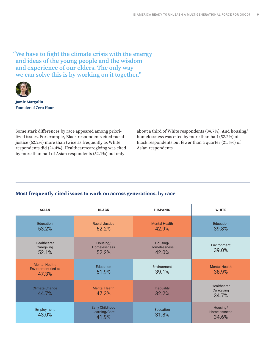"We have to fght the climate crisis with the energy **and ideas of the young people and the wisdom and experience of our elders. The only way we can solve this is by working on it together."** 



**Jamie Margolin Founder of Zero Hour** 

Some stark diferences by race appeared among prioritized issues. For example, Black respondents cited racial justice (62.2%) more than twice as frequently as White respondents did (24.4%). Healthcare/caregiving was cited by more than half of Asian respondents (52.1%) but only

about a third of White respondents (34.7%). And housing/ homelessness was cited by more than half (52.2%) of Black respondents but fewer than a quarter (21.5%) of Asian respondents.

## Most frequently cited issues to work on across generations, by race

| <b>ASIAN</b>                                          | <b>BLACK</b>                                     | <b>HISPANIC</b>                          | <b>WHITE</b>                             |
|-------------------------------------------------------|--------------------------------------------------|------------------------------------------|------------------------------------------|
| Education<br>53.2%                                    | <b>Racial Justice</b><br>62.2%                   | <b>Mental Health</b><br>42.9%            | Education<br>39.8%                       |
| Healthcare/<br>Caregiving<br>52.1%                    | Housing/<br><b>Homelessness</b><br>52.2%         | Housing/<br><b>Homelessness</b><br>42.0% | Environment<br>39.0%                     |
| <b>Mental Health;</b><br>Environment tied at<br>47.3% | <b>Education</b><br>51.9%                        | Environment<br>39.1%                     | <b>Mental Health</b><br>38.9%            |
| <b>Climate Change</b><br>44.7%                        | <b>Mental Health</b><br>47.3%                    | Inequality<br>32.2%                      | Healthcare/<br>Caregiving<br>34.7%       |
| Employment<br>43.0%                                   | <b>Early Childhood</b><br>Learning/Care<br>41.9% | <b>Education</b><br>31.8%                | Housing/<br><b>Homelessness</b><br>34.6% |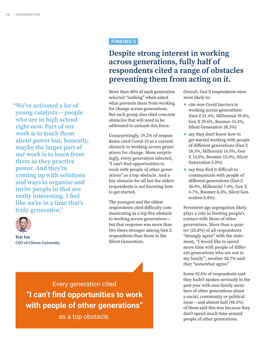"We've activated a lot of **young catalysts — people who are in high school right now. Part of our work is to teach them about power but, honestly, maybe the larger part of our work is to learn from them as they practice**  power. And they're **coming up with solutions and ways to organize and invite people in that are really interesting. I feel**  like we're in a time that's **truly generative."** 



**Eric Liu CEO of Citizen University**

## FINDING 5

## **Despite strong interest in working across generations, fully half of respondents cited a range of obstacles preventing them from acting on it.**

More than 40% of each generation selected "nothing" when asked what prevents them from working for change across generations. But each group also cited concrete obstacles that will need to be addressed to unleash this force.

Unsurprisingly, 19.2% of respondents cited Covid-19 as a current obstacle to working across generations for change. More surprisingly, every generation selected, "I can't fnd opportunities to work with people of other generations" as a top obstacle. And a key obstacle for all but the oldest respondents is not knowing how to get started.

The youngest and the oldest respondents cited difficulty communicating as a top-fve obstacle to working across generations but that response was more than two times stronger among Gen Z respondents than those in the Silent Generation.

Overall, Gen Z respondents were most likely to:

- ▶ cite non-Covid barriers to working across generations (Gen Z 51.4%, Millennial 39.8%, Gen X 29.6%, Boomer 33.5%, Silent Generation 38.3%)
- ▶ say they don't know how to get started working with people of diferent generations (Gen Z 18.5%, Millennial 16.0%, Gen X 14.0%, Boomer 15.0%, Silent Generation 5.0%)
- $\triangleright$  say they find it difficult to communicate with people of diferent generations (Gen Z 20.0%, Millennial 7.0%, Gen X 4.7%, Boomer 8.3%, Silent Generation 8.8%).

Persistent age segregation likely plays a role in limiting people's contact with those of other generations. More than a quarter (25.8%) of all respondents "strongly agree" with the statement, "I would like to spend more time with people of diferent generations who are not in my family"; another 58.7% said they "somewhat agree."

Some 42.6% of respondents said they hadn't spoken seriously in the past year with non-family members of other generations about a social, community or political issue — and almost half (48.5%) of them said this was because they don't spend much time around people of other generations.

Every generation cited "I can't fnd opportunities to work with people of other generations"

as a top obstacle.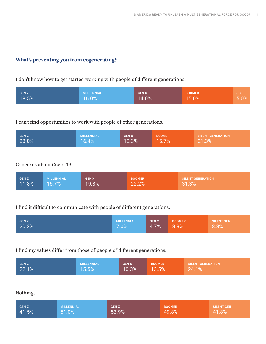## What's preventing you from cogenerating?

I don't know how to get started working with people of diferent generations.

| <b>GENZ</b> | <b>MILLENNIAL</b> | <b>GENX</b> | <b>BOOMER</b> | <b>SG</b> |
|-------------|-------------------|-------------|---------------|-----------|
| 18.5%       | 16.0%             | 14.0%       | 15.0%         | 5.0%      |

## I can't fnd opportunities to work with people of other generations.

| <b>GENZ</b> | <b>MILLENNIAL</b> | <b>LGEN X</b> | <b>BOOMER</b> | <b>SILENT GENERATION</b> |
|-------------|-------------------|---------------|---------------|--------------------------|
| 23.0%       | 16.4%             | 12.3%         | 15.7%         | 21.3%                    |
|             |                   |               |               |                          |

## Concerns about Covid-19

| <b>GEN Z</b> | <b>MILLENNIAL</b> | <b>GEN X</b> | <b>BOOMER</b> | <b>SILENT GENERATION</b> |
|--------------|-------------------|--------------|---------------|--------------------------|
| $ 11.8\%$    | $16.7\%$          | 19.8%        | 22.2%         | 31.3%                    |

## I find it difficult to communicate with people of different generations.

| <b>GENZ</b> | MILLENNIAL | <b>GEN X</b> | <b>BOOMER</b> | <b>SILENT GEN</b> |
|-------------|------------|--------------|---------------|-------------------|
| 20.2%       | 7.0%       | 4.7%         | 8.3%          | 8.8%              |
|             |            |              |               |                   |

## I fnd my values difer from those of people of diferent generations.

| <b>GENZ</b> | <b>MILLENNIAL</b> | <b>GENX</b> | <b>BOOMER</b> | <b>SILENT GENERATION</b> |
|-------------|-------------------|-------------|---------------|--------------------------|
| 22.1%       | 15.5%             | 10.3%       | 13.5%         | 24.1%                    |

## Nothing.

| <b>GENZ</b> | <b>MILLENNIAL</b> | <b>GEN X</b> | <b>BOOMER</b> | <b>SILENT GEN</b> |
|-------------|-------------------|--------------|---------------|-------------------|
| 41.5%       | 51.0%             | 53.9%        | 49.8%         | 41.8%             |
|             |                   |              |               |                   |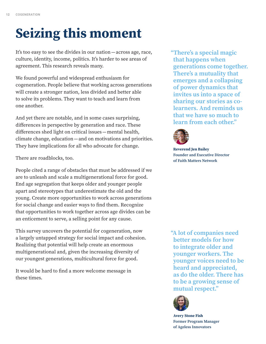# **Seizing this moment**

It's too easy to see the divides in our nation — across age, race, culture, identity, income, politics. It's harder to see areas of agreement. This research reveals many.

We found powerful and widespread enthusiasm for cogeneration. People believe that working across generations will create a stronger nation, less divided and better able to solve its problems. They want to teach and learn from one another.

And yet there are notable, and in some cases surprising, diferences in perspective by generation and race. These diferences shed light on critical issues — mental health, climate change, education — and on motivations and priorities. They have implications for all who advocate for change.

There are roadblocks, too.

People cited a range of obstacles that must be addressed if we are to unleash and scale a multigenerational force for good. End age segregation that keeps older and younger people apart and stereotypes that underestimate the old and the young. Create more opportunities to work across generations for social change and easier ways to fnd them. Recognize that opportunities to work together across age divides can be an enticement to serve, a selling point for any cause.

This survey uncovers the potential for cogeneration, now a largely untapped strategy for social impact and cohesion. Realizing that potential will help create an enormous multigenerational and, given the increasing diversity of our youngest generations, multicultural force for good.

It would be hard to fnd a more welcome message in these times.

 "There's a special magic **that happens when generations come together.**  There's a mutuality that **emerges and a collapsing of power dynamics that invites us into a space of sharing our stories as colearners. And reminds us that we have so much to learn from each other."** 



Reverend Jen Bailey **Founder and Executive Director of Faith Matters Network** 

 **"A lot of companies need better models for how to integrate older and younger workers. The younger voices need to be heard and appreciated, as do the older. There has to be a growing sense of mutual respect."** 



Avery Stone Fish **Former Program Manager of Ageless Innovators**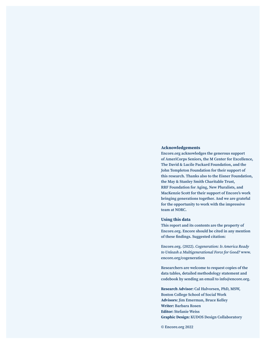#### **Acknowledgements**

**Encore.org acknowledges the generous support of AmeriCorps Seniors, the M Center for Excellence,**  The David & Lucile Packard Foundation, and the **John Templeton Foundation for their support of this research. Thanks also to the Eisner Foundation, the May & Stanley Smith Charitable Trust, RRF Foundation for Aging, New Pluralists, and**  MacKenzie Scott for their support of Encore's work **bringing generations together. And we are grateful for the opportunity to work with the impressive team at NORC.**

#### **Using this data**

**This report and its contents are the property of Encore.org. Encore should be cited in any mention**  of these fndings. Suggested citation:

Encore.org. (2022). **Cogeneration: Is America Ready to Unleash a Multigenerational Force for Good? www. encore.org/cogeneration**

**Researchers are welcome to request copies of the data tables, detailed methodology statement and codebook by sending an email to info@encore.org.**

Research Advisor: **Cal Halvorsen, PhD, MSW, Boston College School of Social Work**  Advisors: **Jim Emerman, Bruce Kelley**  Writer: **Barbara Rosen**  Editor: **Stefanie Weiss** Graphic Design: **KUDOS Design Collaboratory** 

**© Encore.org 2022**